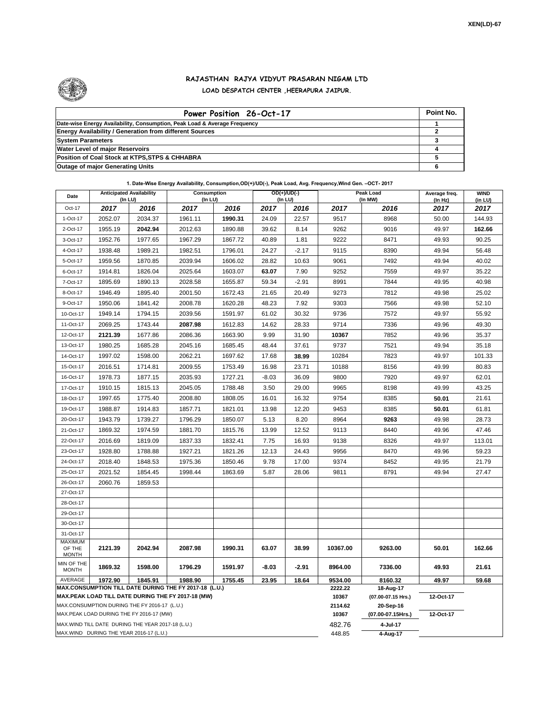

## **RAJASTHAN RAJYA VIDYUT PRASARAN NIGAM LTD LOAD DESPATCH CENTER ,HEERAPURA JAIPUR.**

| Power Position 26-Oct-17                                                  | Point No. |
|---------------------------------------------------------------------------|-----------|
| Date-wise Energy Availability, Consumption, Peak Load & Average Frequency |           |
| <b>Energy Availability / Generation from different Sources</b>            |           |
| <b>System Parameters</b>                                                  |           |
| <b>Water Level of major Reservoirs</b>                                    |           |
| Position of Coal Stock at KTPS, STPS & CHHABRA                            |           |
| <b>Outage of major Generating Units</b>                                   |           |

**1. Date-Wise Energy Availability, Consumption,OD(+)/UD(-), Peak Load, Avg. Frequency,Wind Gen. –OCT- 2017**

| Date                                                                                                         | <b>Anticipated Availability</b><br>$($ In LU $)$ |         | Consumption<br>(In LU) |         | OD(+)/UD(-)<br>(In LU) |         | Peak Load<br>(In MW) |                                 | Average freq.<br>(In Hz) | <b>WIND</b><br>(in LU) |
|--------------------------------------------------------------------------------------------------------------|--------------------------------------------------|---------|------------------------|---------|------------------------|---------|----------------------|---------------------------------|--------------------------|------------------------|
| Oct-17                                                                                                       | 2017                                             | 2016    | 2017                   | 2016    | 2017                   | 2016    | 2017                 | 2016                            | 2017                     | 2017                   |
| 1-Oct-17                                                                                                     | 2052.07                                          | 2034.37 | 1961.11                | 1990.31 | 24.09                  | 22.57   | 9517                 | 8968                            | 50.00                    | 144.93                 |
| 2-Oct-17                                                                                                     | 1955.19                                          | 2042.94 | 2012.63                | 1890.88 | 39.62                  | 8.14    | 9262                 | 9016                            | 49.97                    | 162.66                 |
| 3-Oct-17                                                                                                     | 1952.76                                          | 1977.65 | 1967.29                | 1867.72 | 40.89                  | 1.81    | 9222                 | 8471                            | 49.93                    | 90.25                  |
| 4-Oct-17                                                                                                     | 1938.48                                          | 1989.21 | 1982.51                | 1796.01 | 24.27                  | $-2.17$ | 9115                 | 8390                            | 49.94                    | 56.48                  |
| 5-Oct-17                                                                                                     | 1959.56                                          | 1870.85 | 2039.94                | 1606.02 | 28.82                  | 10.63   | 9061                 | 7492                            | 49.94                    | 40.02                  |
| 6-Oct-17                                                                                                     | 1914.81                                          | 1826.04 | 2025.64                | 1603.07 | 63.07                  | 7.90    | 9252                 | 7559                            | 49.97                    | 35.22                  |
| 7-Oct-17                                                                                                     | 1895.69                                          | 1890.13 | 2028.58                | 1655.87 | 59.34                  | $-2.91$ | 8991                 | 7844                            | 49.95                    | 40.98                  |
| 8-Oct-17                                                                                                     | 1946.49                                          | 1895.40 | 2001.50                | 1672.43 | 21.65                  | 20.49   | 9273                 | 7812                            | 49.98                    | 25.02                  |
| 9-Oct-17                                                                                                     | 1950.06                                          | 1841.42 | 2008.78                | 1620.28 | 48.23                  | 7.92    | 9303                 | 7566                            | 49.98                    | 52.10                  |
| 10-Oct-17                                                                                                    | 1949.14                                          | 1794.15 | 2039.56                | 1591.97 | 61.02                  | 30.32   | 9736                 | 7572                            | 49.97                    | 55.92                  |
| 11-Oct-17                                                                                                    | 2069.25                                          | 1743.44 | 2087.98                | 1612.83 | 14.62                  | 28.33   | 9714                 | 7336                            | 49.96                    | 49.30                  |
| 12-Oct-17                                                                                                    | 2121.39                                          | 1677.86 | 2086.36                | 1663.90 | 9.99                   | 31.90   | 10367                | 7852                            | 49.96                    | 35.37                  |
| 13-Oct-17                                                                                                    | 1980.25                                          | 1685.28 | 2045.16                | 1685.45 | 48.44                  | 37.61   | 9737                 | 7521                            | 49.94                    | 35.18                  |
| 14-Oct-17                                                                                                    | 1997.02                                          | 1598.00 | 2062.21                | 1697.62 | 17.68                  | 38.99   | 10284                | 7823                            | 49.97                    | 101.33                 |
| 15-Oct-17                                                                                                    | 2016.51                                          | 1714.81 | 2009.55                | 1753.49 | 16.98                  | 23.71   | 10188                | 8156                            | 49.99                    | 80.83                  |
| 16-Oct-17                                                                                                    | 1978.73                                          | 1877.15 | 2035.93                | 1727.21 | $-8.03$                | 36.09   | 9800                 | 7920                            | 49.97                    | 62.01                  |
| 17-Oct-17                                                                                                    | 1910.15                                          | 1815.13 | 2045.05                | 1788.48 | 3.50                   | 29.00   | 9965                 | 8198                            | 49.99                    | 43.25                  |
| 18-Oct-17                                                                                                    | 1997.65                                          | 1775.40 | 2008.80                | 1808.05 | 16.01                  | 16.32   | 9754                 | 8385                            | 50.01                    | 21.61                  |
| 19-Oct-17                                                                                                    | 1988.87                                          | 1914.83 | 1857.71                | 1821.01 | 13.98                  | 12.20   | 9453                 | 8385                            | 50.01                    | 61.81                  |
| 20-Oct-17                                                                                                    | 1943.79                                          | 1739.27 | 1796.29                | 1850.07 | 5.13                   | 8.20    | 8964                 | 9263                            | 49.98                    | 28.73                  |
| 21-Oct-17                                                                                                    | 1869.32                                          | 1974.59 | 1881.70                | 1815.76 | 13.99                  | 12.52   | 9113                 | 8440                            | 49.96                    | 47.46                  |
| 22-Oct-17                                                                                                    | 2016.69                                          | 1819.09 | 1837.33                | 1832.41 | 7.75                   | 16.93   | 9138                 | 8326                            | 49.97                    | 113.01                 |
| 23-Oct-17                                                                                                    | 1928.80                                          | 1788.88 | 1927.21                | 1821.26 | 12.13                  | 24.43   | 9956                 | 8470                            | 49.96                    | 59.23                  |
| 24-Oct-17                                                                                                    | 2018.40                                          | 1848.53 | 1975.36                | 1850.46 | 9.78                   | 17.00   | 9374                 | 8452                            | 49.95                    | 21.79                  |
| 25-Oct-17                                                                                                    | 2021.52                                          | 1854.45 | 1998.44                | 1863.69 | 5.87                   | 28.06   | 9811                 | 8791                            | 49.94                    | 27.47                  |
| 26-Oct-17                                                                                                    | 2060.76                                          | 1859.53 |                        |         |                        |         |                      |                                 |                          |                        |
| 27-Oct-17                                                                                                    |                                                  |         |                        |         |                        |         |                      |                                 |                          |                        |
| 28-Oct-17                                                                                                    |                                                  |         |                        |         |                        |         |                      |                                 |                          |                        |
| 29-Oct-17                                                                                                    |                                                  |         |                        |         |                        |         |                      |                                 |                          |                        |
| 30-Oct-17                                                                                                    |                                                  |         |                        |         |                        |         |                      |                                 |                          |                        |
| 31-Oct-17                                                                                                    |                                                  |         |                        |         |                        |         |                      |                                 |                          |                        |
| <b>MAXIMUM</b><br>OF THE<br><b>MONTH</b>                                                                     | 2121.39                                          | 2042.94 | 2087.98                | 1990.31 | 63.07                  | 38.99   | 10367.00             | 9263.00                         | 50.01                    | 162.66                 |
| MIN OF THE<br><b>MONTH</b>                                                                                   | 1869.32                                          | 1598.00 | 1796.29                | 1591.97 | $-8.03$                | $-2.91$ | 8964.00              | 7336.00                         | 49.93                    | 21.61                  |
| AVERAGE                                                                                                      | 1972.90                                          | 1845.91 | 1988.90                | 1755.45 | 23.95                  | 18.64   | 9534.00<br>2222.22   | 8160.32                         | 49.97                    | 59.68                  |
| MAX.CONSUMPTION TILL DATE DURING THE FY 2017-18 (L.U.)<br>MAX.PEAK LOAD TILL DATE DURING THE FY 2017-18 (MW) |                                                  |         |                        |         |                        |         |                      | 18-Aug-17<br>(07.00-07.15 Hrs.) | 12-Oct-17                |                        |
| MAX.CONSUMPTION DURING THE FY 2016-17 (L.U.)                                                                 |                                                  |         |                        |         |                        |         |                      | 20-Sep-16                       |                          |                        |
| MAX.PEAK LOAD DURING THE FY 2016-17 (MW)                                                                     |                                                  |         |                        |         |                        |         |                      | (07.00-07.15Hrs.)               | 12-Oct-17                |                        |
| MAX.WIND TILL DATE DURING THE YEAR 2017-18 (L.U.)                                                            |                                                  |         |                        |         |                        |         |                      | 4-Jul-17                        |                          |                        |
|                                                                                                              | MAX.WIND DURING THE YEAR 2016-17 (L.U.)          |         |                        | 448.85  | 4-Aug-17               |         |                      |                                 |                          |                        |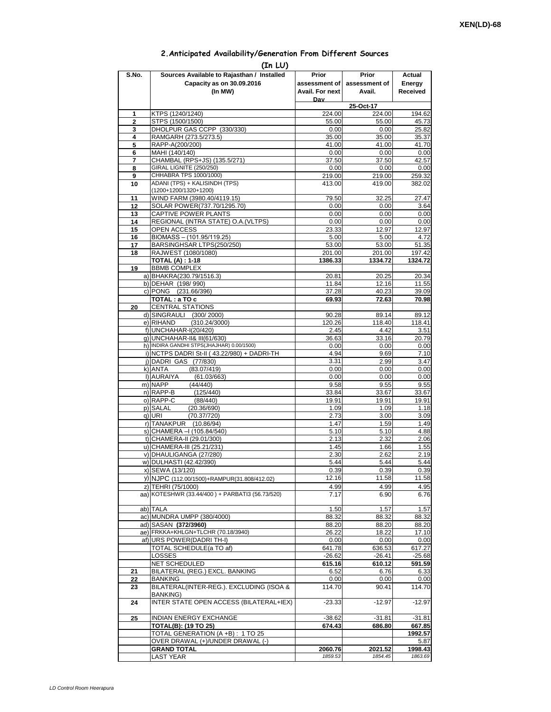## **2.Anticipated Availability/Generation From Different Sources**

| (In LU)             |                                                                                    |                                           |                                  |                              |  |  |  |  |  |
|---------------------|------------------------------------------------------------------------------------|-------------------------------------------|----------------------------------|------------------------------|--|--|--|--|--|
| S.No.               | Sources Available to Rajasthan / Installed<br>Capacity as on 30.09.2016<br>(In MW) | Prior<br>assessment of<br>Avail. For next | Prior<br>assessment of<br>Avail. | Actual<br>Energy<br>Received |  |  |  |  |  |
|                     |                                                                                    | Dav                                       |                                  |                              |  |  |  |  |  |
|                     |                                                                                    |                                           | 25-Oct-17                        |                              |  |  |  |  |  |
| 1<br>$\overline{2}$ | KTPS (1240/1240)<br>STPS (1500/1500)                                               | 224.00<br>55.00                           | 224.00<br>55.00                  | 194.62<br>45.73              |  |  |  |  |  |
| 3                   | DHOLPUR GAS CCPP (330/330)                                                         | 0.00                                      | 0.00                             | 25.82                        |  |  |  |  |  |
| 4                   | RAMGARH (273.5/273.5)                                                              | 35.00                                     | 35.00                            | 35.37                        |  |  |  |  |  |
| 5                   | RAPP-A(200/200)                                                                    | 41.00                                     | 41.00                            | 41.70                        |  |  |  |  |  |
| 6                   | MAHI (140/140)                                                                     | 0.00                                      | 0.00                             | 0.00                         |  |  |  |  |  |
| 7                   | CHAMBAL (RPS+JS) (135.5/271)<br>GIRAL LIGNITE (250/250)                            | 37.50                                     | 37.50                            | 42.57                        |  |  |  |  |  |
| 8<br>9              | CHHABRA TPS 1000/1000)                                                             | 0.00<br>219.00                            | 0.00<br>219.00                   | 0.00<br>259.32               |  |  |  |  |  |
| 10                  | ADANI (TPS) + KALISINDH (TPS)<br>(1200+1200/1320+1200)                             | 413.00                                    | 419.00                           | 382.02                       |  |  |  |  |  |
| 11                  | WIND FARM (3980.40/4119.15)                                                        | 79.50                                     | 32.25                            | 27.47                        |  |  |  |  |  |
| 12                  | SOLAR POWER(737.70/1295.70)                                                        | 0.00                                      | 0.00                             | 3.64                         |  |  |  |  |  |
| 13                  | CAPTIVE POWER PLANTS                                                               | 0.00                                      | 0.00                             | 0.00                         |  |  |  |  |  |
| 14                  | REGIONAL (INTRA STATE) O.A. (VLTPS)                                                | 0.00                                      | 0.00                             | 0.00                         |  |  |  |  |  |
| 15                  | <b>OPEN ACCESS</b>                                                                 | 23.33                                     | 12.97                            | 12.97                        |  |  |  |  |  |
| 16<br>17            | BIOMASS - (101.95/119.25)<br>BARSINGHSAR LTPS(250/250)                             | 5.00<br>53.00                             | 5.00<br>53.00                    | 4.72<br>51.35                |  |  |  |  |  |
| 18                  | RAJWEST (1080/1080)                                                                | 201.00                                    | 201.00                           | 197.42                       |  |  |  |  |  |
|                     | <b>TOTAL (A): 1-18</b>                                                             | 1386.33                                   | 1334.72                          | 1324.72                      |  |  |  |  |  |
| 19                  | <b>BBMB COMPLEX</b>                                                                |                                           |                                  |                              |  |  |  |  |  |
|                     | a) BHAKRA(230.79/1516.3)                                                           | 20.81                                     | 20.25                            | 20.34                        |  |  |  |  |  |
|                     | b) DEHAR (198/990)                                                                 | 11.84                                     | 12.16                            | 11.55                        |  |  |  |  |  |
|                     | c) PONG (231.66/396)                                                               | 37.28                                     | 40.23                            | 39.09                        |  |  |  |  |  |
| 20                  | TOTAL: a TO c<br><b>CENTRAL STATIONS</b>                                           | 69.93                                     | 72.63                            | 70.98                        |  |  |  |  |  |
|                     | d) SINGRAULI (300/2000)                                                            | 90.28                                     | 89.14                            | 89.12                        |  |  |  |  |  |
|                     | e) RIHAND<br>(310.24/3000)                                                         | 120.26                                    | 118.40                           | 118.41                       |  |  |  |  |  |
|                     | f) UNCHAHAR-I(20/420)                                                              | 2.45                                      | 4.42                             | 3.51                         |  |  |  |  |  |
|                     | g) UNCHAHAR-II& III(61/630)                                                        | 36.63                                     | 33.16                            | 20.79                        |  |  |  |  |  |
|                     | h) INDIRA GANDHI STPS(JHAJHAR) 0.00/1500)                                          | 0.00                                      | 0.00                             | 0.00                         |  |  |  |  |  |
|                     | i) NCTPS DADRI St-II (43.22/980) + DADRI-TH                                        | 4.94                                      | 9.69                             | 7.10                         |  |  |  |  |  |
|                     | j) DADRI GAS (77/830)<br>k) ANTA<br>(83.07/419)                                    | 3.31<br>0.00                              | 2.99<br>0.00                     | 3.47<br>0.00                 |  |  |  |  |  |
|                     | I) AURAIYA<br>(61.03/663)                                                          | 0.00                                      | 0.00                             | 0.00                         |  |  |  |  |  |
|                     | m) NAPP<br>(44/440)                                                                | 9.58                                      | 9.55                             | 9.55                         |  |  |  |  |  |
|                     | n) RAPP-B<br>(125/440)                                                             | 33.84                                     | 33.67                            | 33.67                        |  |  |  |  |  |
|                     | o) RAPP-C<br>(88/440)                                                              | 19.91                                     | 19.91                            | 19.91                        |  |  |  |  |  |
|                     | p) SALAL<br>(20.36/690)                                                            | 1.09                                      | 1.09                             | 1.18                         |  |  |  |  |  |
|                     | q) URI<br>(70.37/720)<br>r) TANAKPUR<br>(10.86/94)                                 | 2.73<br>1.47                              | 3.00<br>1.59                     | 3.09<br>1.49                 |  |  |  |  |  |
|                     | s) CHAMERA - (105.84/540)                                                          | 5.10                                      | 5.10                             | 4.88                         |  |  |  |  |  |
|                     | t) CHAMERA-II (29.01/300)                                                          | 2.13                                      | 2.32                             | 2.06                         |  |  |  |  |  |
|                     | u) CHAMERA-III (25.21/231)                                                         | 1.45                                      | 1.66                             | 1.55                         |  |  |  |  |  |
|                     | v) DHAULIGANGA (27/280)                                                            | 2.30                                      | 2.62                             | 2.19                         |  |  |  |  |  |
|                     | w) DULHASTI (42.42/390)                                                            | 5.44                                      | 5.44                             | 5.44                         |  |  |  |  |  |
|                     | x) SEWA (13/120)                                                                   | 0.39                                      | 0.39                             | 0.39                         |  |  |  |  |  |
|                     | y) NJPC (112.00/1500)+RAMPUR(31.808/412.02)<br>z) TEHRI (75/1000)                  | 12.16<br>4.99                             | 11.58<br>4.99                    | 11.58                        |  |  |  |  |  |
|                     | aa) KOTESHWR (33.44/400) + PARBATI3 (56.73/520)                                    | 7.17                                      | 6.90                             | 4.95<br>6.76                 |  |  |  |  |  |
|                     | ab) TALA                                                                           | 1.50                                      | 1.57                             | 1.57                         |  |  |  |  |  |
|                     | ac) MUNDRA UMPP (380/4000)                                                         | 88.32                                     | 88.32                            | 88.32                        |  |  |  |  |  |
|                     | ad) SASAN (372/3960)                                                               | 88.20                                     | 88.20                            | 88.20                        |  |  |  |  |  |
|                     | ae) FRKKA+KHLGN+TLCHR (70.18/3940)                                                 | 26.22                                     | 18.22                            | 17.10                        |  |  |  |  |  |
|                     | af) URS POWER(DADRITH-I)                                                           | 0.00                                      | 0.00                             | 0.00                         |  |  |  |  |  |
|                     | TOTAL SCHEDULE(a TO af)<br>LOSSES                                                  | 641.78<br>$-26.62$                        | 636.53<br>$-26.41$               | 617.27<br>$-25.68$           |  |  |  |  |  |
|                     | NET SCHEDULED                                                                      | 615.16                                    | 610.12                           | 591.59                       |  |  |  |  |  |
| 21                  | BILATERAL (REG.) EXCL. BANKING                                                     | 6.52                                      | 6.76                             | 6.33                         |  |  |  |  |  |
| 22                  | <b>BANKING</b>                                                                     | 0.00                                      | 0.00                             | 0.00                         |  |  |  |  |  |
| 23                  | BILATERAL(INTER-REG.). EXCLUDING (ISOA &<br><b>BANKING)</b>                        | 114.70                                    | 90.41                            | 114.70                       |  |  |  |  |  |
| 24                  | INTER STATE OPEN ACCESS (BILATERAL+IEX)                                            | $-23.33$                                  | $-12.97$                         | $-12.97$                     |  |  |  |  |  |
| 25                  | INDIAN ENERGY EXCHANGE                                                             | $-38.62$                                  | $-31.81$                         | $-31.81$                     |  |  |  |  |  |
|                     | <b>TOTAL(B): (19 TO 25)</b>                                                        | 674.43                                    | 686.80                           | 667.85                       |  |  |  |  |  |
|                     | TOTAL GENERATION (A +B) : 1 TO 25<br>OVER DRAWAL (+)/UNDER DRAWAL (-)              |                                           |                                  | 1992.57                      |  |  |  |  |  |
|                     | <b>GRAND TOTAL</b>                                                                 | 2060.76                                   | 2021.52                          | 5.87<br>1998.43              |  |  |  |  |  |
|                     | <b>LAST YEAR</b>                                                                   | 1859.53                                   | 1854.45                          | 1863.69                      |  |  |  |  |  |
|                     |                                                                                    |                                           |                                  |                              |  |  |  |  |  |